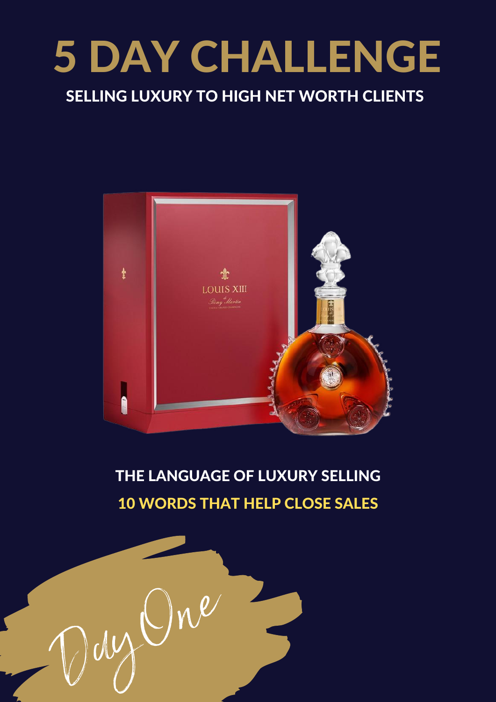# 5 DAY CHALLENGE

#### SELLING LUXURY TO HIGH NET WORTH CLIENTS



THE LANGUAGE OF LUXURY SELLING 10 WORDS THAT HELP CLOSE SALES

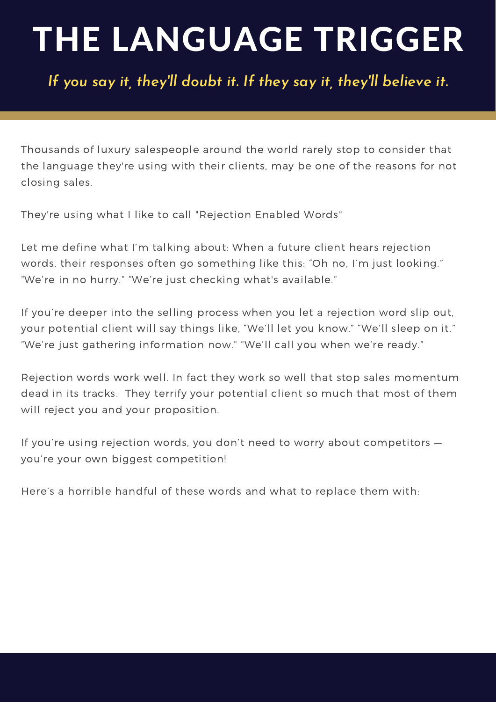## THE LANGUAGE TRIGGER

*If you say it, they 'll doubt it. If they say it, they 'll believe it.*

Thousands of luxury salespeople around the world rarely stop to consider that the language they're using with their clients, may be one of the reasons for not closing sales.

They're using what I like to call "Rejection Enabled Words"

Let me define what I'm talking about: When a future client hears rejection words, their responses often go something like this: "Oh no, I'm just looking." "We're in no hurry." "We're just checking what's available."

If you're deeper into the selling process when you let a rejection word slip out, your potential client will say things like, "We'll let you know." "We'll sleep on it." "We're just gathering information now." "We'll call you when we're ready."

Rejection words work well. In fact they work so well that stop sales momentum dead in its tracks. They terrify your potential client so much that most of them will reject you and your proposition.

If you're using rejection words, you don't need to worry about competitors you're your own biggest competition!

Here's a horrible handful of these words and what to replace them with: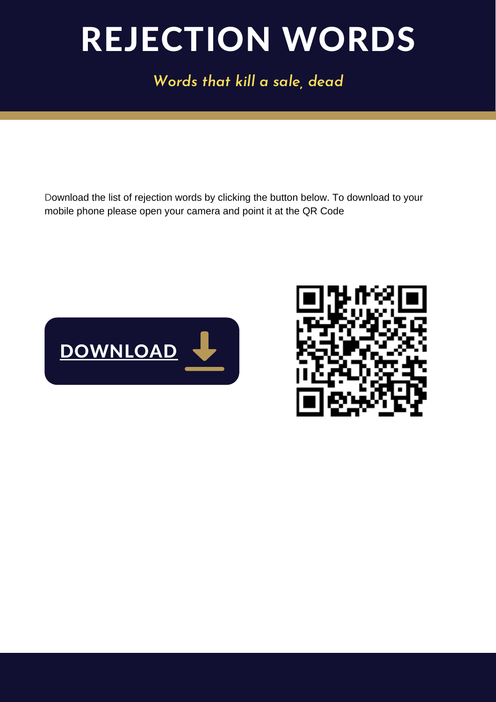### REJECTION WORDS

*Words that kill a sale, dead*

Download the list of rejection words by clicking the button below. To download to your mobile phone please open your camera and point it at the QR Code



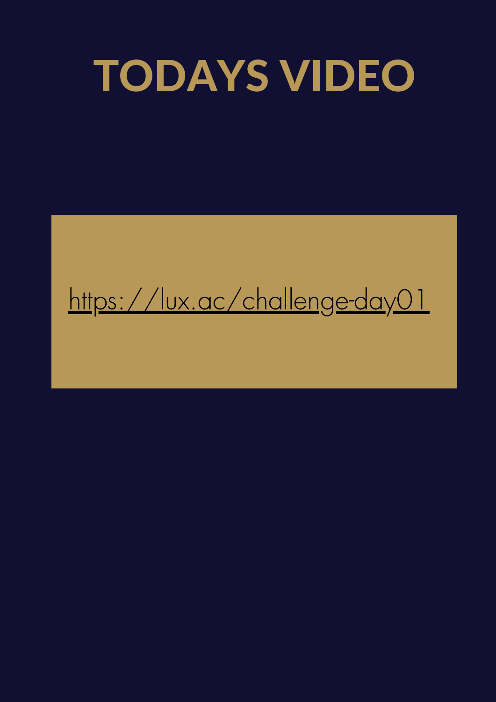## TODAYS VIDEO

#### <https://lux.ac/challenge-day01>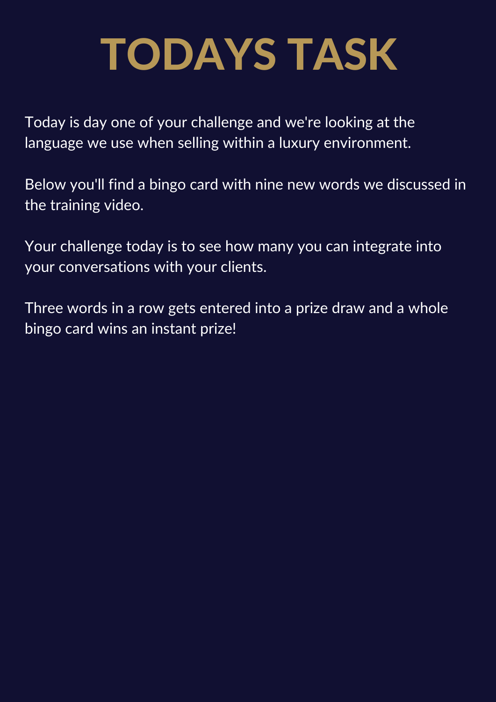## TODAYS TASK

Today is day one of your challenge and we're looking at the language we use when selling within a luxury environment.

Below you'll find a bingo card with nine new words we discussed in the training video.

Your challenge today is to see how many you can integrate into your conversations with your clients.

Three words in a row gets entered into a prize draw and a whole bingo card wins an instant prize!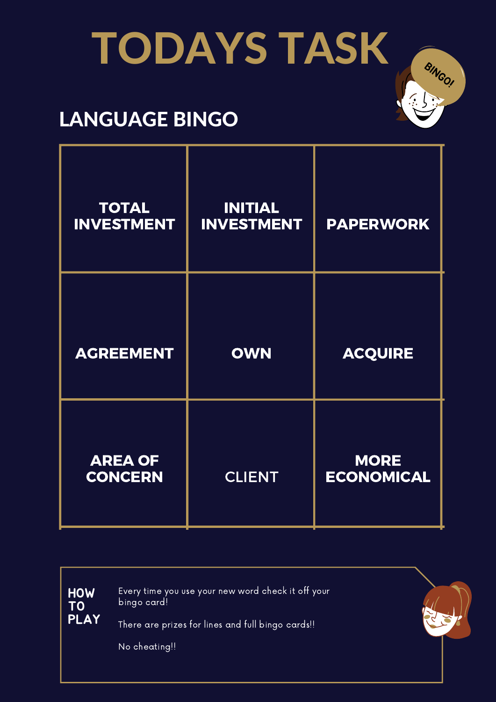# TODAYS TASK

#### LANGUAGE BINGO

| <b>TOTAL</b><br><b>INVESTMENT</b> | <b>INITIAL</b><br><b>INVESTMENT</b> | <b>PAPERWORK</b>                 |
|-----------------------------------|-------------------------------------|----------------------------------|
| <b>AGREEMENT</b>                  | <b>OWN</b>                          | <b>ACQUIRE</b>                   |
| <b>AREA OF</b><br><b>CONCERN</b>  | <b>CLIENT</b>                       | <b>MORE</b><br><b>ECONOMICAL</b> |